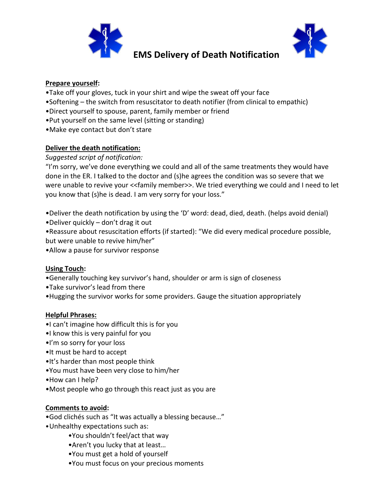

## **EMS Delivery of Death Notification**



### **Prepare yourself:**

- •Take off your gloves, tuck in your shirt and wipe the sweat off your face
- •Softening the switch from resuscitator to death notifier (from clinical to empathic)
- •Direct yourself to spouse, parent, family member or friend
- •Put yourself on the same level (sitting or standing)
- •Make eye contact but don't stare

## **Deliver the death notification:**

### *Suggested script of notification:*

"I'm sorry, we've done everything we could and all of the same treatments they would have done in the ER. I talked to the doctor and (s)he agrees the condition was so severe that we were unable to revive your << family member>>. We tried everything we could and I need to let you know that (s)he is dead. I am very sorry for your loss."

•Deliver the death notification by using the 'D' word: dead, died, death. (helps avoid denial)

•Deliver quickly – don't drag it out

•Reassure about resuscitation efforts (if started): "We did every medical procedure possible, but were unable to revive him/her"

•Allow a pause for survivor response

## **Using Touch:**

- •Generally touching key survivor's hand, shoulder or arm is sign of closeness
- •Take survivor's lead from there
- •Hugging the survivor works for some providers. Gauge the situation appropriately

#### **Helpful Phrases:**

- •I can't imagine how difficult this is for you
- •I know this is very painful for you
- •I'm so sorry for your loss
- •It must be hard to accept
- •It's harder than most people think
- •You must have been very close to him/her
- •How can I help?
- •Most people who go through this react just as you are

#### **Comments to avoid:**

- •God clichés such as "It was actually a blessing because…"
- •Unhealthy expectations such as:
	- •You shouldn't feel/act that way
	- •Aren't you lucky that at least…
	- •You must get a hold of yourself
	- •You must focus on your precious moments